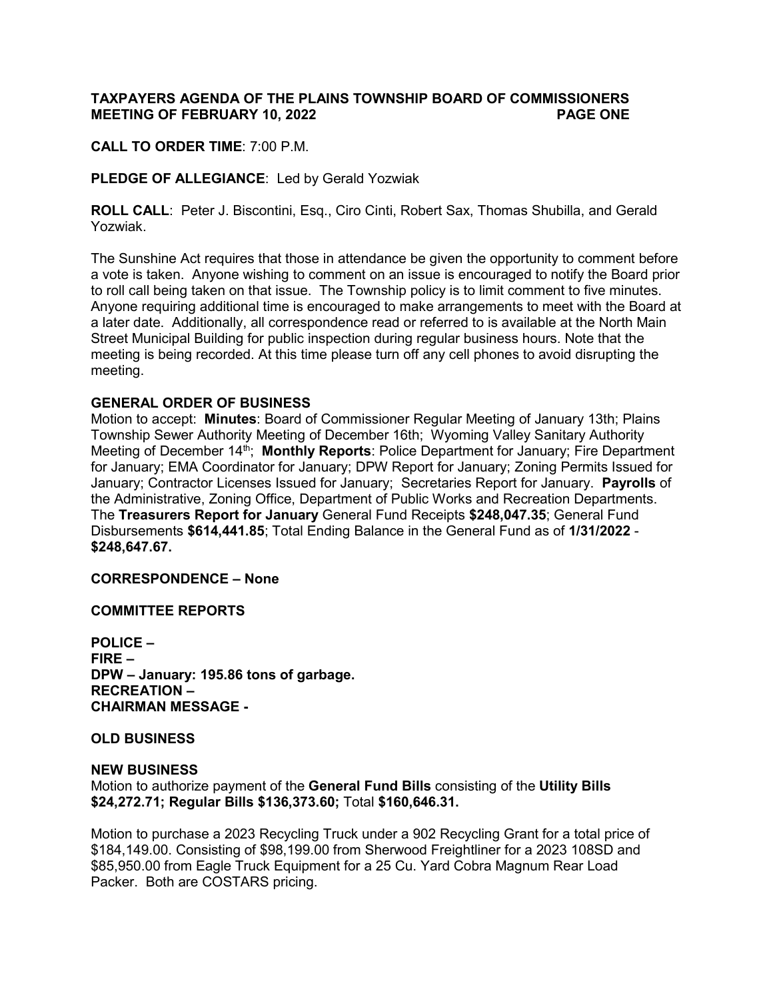# **TAXPAYERS AGENDA OF THE PLAINS TOWNSHIP BOARD OF COMMISSIONERS MEETING OF FEBRUARY 10, 2022 PAGE ONE**

**CALL TO ORDER TIME**: 7:00 P.M.

**PLEDGE OF ALLEGIANCE**: Led by Gerald Yozwiak

**ROLL CALL**: Peter J. Biscontini, Esq., Ciro Cinti, Robert Sax, Thomas Shubilla, and Gerald Yozwiak.

The Sunshine Act requires that those in attendance be given the opportunity to comment before a vote is taken. Anyone wishing to comment on an issue is encouraged to notify the Board prior to roll call being taken on that issue. The Township policy is to limit comment to five minutes. Anyone requiring additional time is encouraged to make arrangements to meet with the Board at a later date. Additionally, all correspondence read or referred to is available at the North Main Street Municipal Building for public inspection during regular business hours. Note that the meeting is being recorded. At this time please turn off any cell phones to avoid disrupting the meeting.

## **GENERAL ORDER OF BUSINESS**

Motion to accept: **Minutes**: Board of Commissioner Regular Meeting of January 13th; Plains Township Sewer Authority Meeting of December 16th; Wyoming Valley Sanitary Authority Meeting of December 14<sup>th</sup>; Monthly Reports: Police Department for January; Fire Department for January; EMA Coordinator for January; DPW Report for January; Zoning Permits Issued for January; Contractor Licenses Issued for January; Secretaries Report for January. **Payrolls** of the Administrative, Zoning Office, Department of Public Works and Recreation Departments. The **Treasurers Report for January** General Fund Receipts **\$248,047.35**; General Fund Disbursements **\$614,441.85**; Total Ending Balance in the General Fund as of **1/31/2022** - **\$248,647.67.**

**CORRESPONDENCE – None**

**COMMITTEE REPORTS**

**POLICE – FIRE – DPW – January: 195.86 tons of garbage. RECREATION – CHAIRMAN MESSAGE -**

**OLD BUSINESS** 

#### **NEW BUSINESS**

Motion to authorize payment of the **General Fund Bills** consisting of the **Utility Bills \$24,272.71; Regular Bills \$136,373.60;** Total **\$160,646.31.** 

Motion to purchase a 2023 Recycling Truck under a 902 Recycling Grant for a total price of \$184,149.00. Consisting of \$98,199.00 from Sherwood Freightliner for a 2023 108SD and \$85,950.00 from Eagle Truck Equipment for a 25 Cu. Yard Cobra Magnum Rear Load Packer. Both are COSTARS pricing.